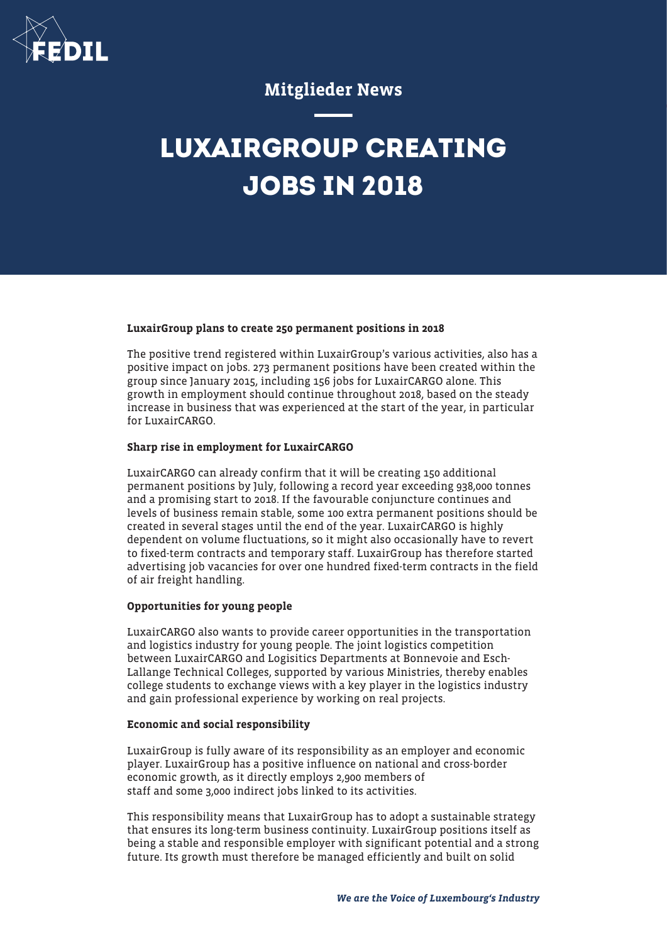

### Mitglieder News

## **LUXAIRGROUP CREATING JOBS IN 2018**

#### LuxairGroup plans to create 250 permanent positions in 2018

The positive trend registered within LuxairGroup's various activities, also has a positive impact on jobs. 273 permanent positions have been created within the group since January 2015, including 156 jobs for LuxairCARGO alone. This growth in employment should continue throughout 2018, based on the steady increase in business that was experienced at the start of the year, in particular for LuxairCARGO.

#### Sharp rise in employment for LuxairCARGO

LuxairCARGO can already confirm that it will be creating 150 additional permanent positions by July, following a record year exceeding 938,000 tonnes and a promising start to 2018. If the favourable conjuncture continues and levels of business remain stable, some 100 extra permanent positions should be created in several stages until the end of the year. LuxairCARGO is highly dependent on volume fluctuations, so it might also occasionally have to revert to fixed-term contracts and temporary staff. LuxairGroup has therefore started advertising job vacancies for over one hundred fixed-term contracts in the field of air freight handling.

#### Opportunities for young people

LuxairCARGO also wants to provide career opportunities in the transportation and logistics industry for young people. The joint logistics competition between LuxairCARGO and Logisitics Departments at Bonnevoie and Esch-Lallange Technical Colleges, supported by various Ministries, thereby enables college students to exchange views with a key player in the logistics industry and gain professional experience by working on real projects.

#### Economic and social responsibility

LuxairGroup is fully aware of its responsibility as an employer and economic player. LuxairGroup has a positive influence on national and cross-border economic growth, as it directly employs 2,900 members of staff and some 3,000 indirect jobs linked to its activities.

This responsibility means that LuxairGroup has to adopt a sustainable strategy that ensures its long-term business continuity. LuxairGroup positions itself as being a stable and responsible employer with significant potential and a strong future. Its growth must therefore be managed efficiently and built on solid